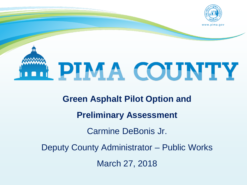



**Green Asphalt Pilot Option and Preliminary Assessment**  Carmine DeBonis Jr. Deputy County Administrator – Public Works March 27, 2018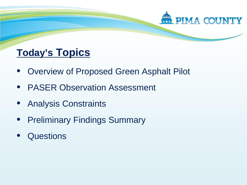

# **Today's Topics**

- Overview of Proposed Green Asphalt Pilot
- PASER Observation Assessment
- Analysis Constraints
- Preliminary Findings Summary
- **Questions**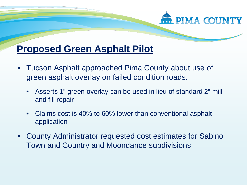# **PIMA COUNTY**

## **Proposed Green Asphalt Pilot**

- Tucson Asphalt approached Pima County about use of green asphalt overlay on failed condition roads.
	- Asserts 1" green overlay can be used in lieu of standard 2" mill and fill repair
	- Claims cost is 40% to 60% lower than conventional asphalt application
- County Administrator requested cost estimates for Sabino Town and Country and Moondance subdivisions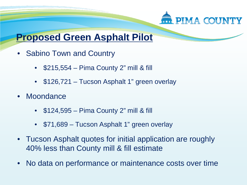

### **Proposed Green Asphalt Pilot**

- Sabino Town and Country
	- \$215,554 Pima County 2" mill & fill
	- \$126,721 Tucson Asphalt 1" green overlay
- Moondance
	- $\cdot$  \$124,595 Pima County 2" mill & fill
	- \$71,689 Tucson Asphalt 1" green overlay
- Tucson Asphalt quotes for initial application are roughly 40% less than County mill & fill estimate
- No data on performance or maintenance costs over time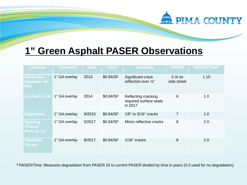# **1" Green Asphalt PASER Observations**

**PIMA COUNTY** 

| <b>Location</b>                                        | <b>Treatment</b> | <b>Date</b> | Cost <sup>1</sup> | <b>Condition</b>                                         | <b>PASER</b>            | PASER/Time <sup>2</sup> |
|--------------------------------------------------------|------------------|-------------|-------------------|----------------------------------------------------------|-------------------------|-------------------------|
| <b>Haciendas</b><br><b>Catalinas del</b><br><b>Rey</b> | 1" GA overlay    | 2013        | \$0.84/SF         | Significant crack<br>reflection over $\frac{1}{4}$ "     | $5/4$ on<br>side street | 1.10                    |
| <b>Lambert Acres</b>                                   | 1" GA overlay    | 2014        | \$0.84/SF         | Reflecting cracking<br>required surface seals<br>in 2017 | 6                       | 1.0                     |
| <b>Edgebrook</b>                                       | 1" GA overlay    | 9/2015      | \$0.84/SF         | 1/8" to 3/16" cracks                                     | 7                       | 1.0                     |
| <b>Sporting</b><br><b>Chance</b><br><b>Parking Lot</b> | 1" GA overlay    | 5/2017      | \$0.84/SF         | Minor reflective cracks                                  | 8                       | 2.0                     |
| <b>Silverbell</b><br><b>Terrace</b>                    | 1" GA overlay    | 8/2017      | \$0.84/SF         | $1/16$ " cracks                                          | 8                       | 2.0                     |

**<sup>2</sup>** PASER/Time: Measures degradation from PASER 10 to current PASER divided by time in years (0.3 used for no degradation).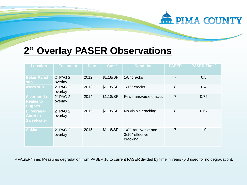#### PIMA COUNTY

### **2" Overlay PASER Observations**

| <b>Location</b>                                           | <b>Treatment</b>    | <b>Date</b> | Cost <sup>1</sup> | <b>Condition</b>                                   | <b>PASER</b> | PASER/Time <sup>2</sup> |
|-----------------------------------------------------------|---------------------|-------------|-------------------|----------------------------------------------------|--------------|-------------------------|
| <b>Belair Ranch</b><br>sub                                | 2" PAG 2<br>overlay | 2012        | \$1.18/SF         | 1/8" cracks                                        | 7            | 0.5                     |
| 49ers sub                                                 | 2" PAG 2<br>overlay | 2013        | \$1.18/SF         | $1/16$ " cracks                                    | 8            | 0.4                     |
| <b>Alvernon-Los</b><br><b>Reales to</b><br><b>Hughes</b>  | 2" PAG 2<br>overlay | 2014        | \$1.18/SF         | Few transverse cracks                              | 7            | 0.75                    |
| <b>El Moraga-</b><br><b>Goret to</b><br><b>Sweetwater</b> | 2" PAG 2<br>overlay | 2015        | \$1.18/SF         | No visible cracking                                | 8            | 0.67                    |
| <b>Anklam</b>                                             | 2" PAG 2<br>overlay | 2015        | \$1.18/SF         | 1/8" transverse and<br>3/16"reflective<br>cracking | 7            | 1.0                     |

**<sup>2</sup>** PASER/Time: Measures degradation from PASER 10 to current PASER divided by time in years (0.3 used for no degradation).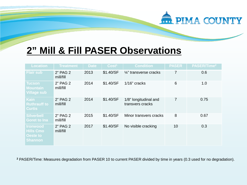#### PIMA COUNTY

## **2" Mill & Fill PASER Observations**

| <b>Location</b>                                                   | <b>Treatment</b>      | <b>Date</b> | Cost <sup>1</sup> | <b>Condition</b>                          | <b>PASER</b>   | PASER/Time <sup>2</sup> |
|-------------------------------------------------------------------|-----------------------|-------------|-------------------|-------------------------------------------|----------------|-------------------------|
| <b>Flair sub</b>                                                  | 2" PAG 2<br>mill/fill | 2013        | \$1.40/SF         | $\frac{1}{4}$ " transverse cracks         | $\overline{7}$ | 0.6                     |
| <b>Tucson</b><br><b>Mountain</b><br><b>Village sub</b>            | 2" PAG 2<br>mill/fill | 2014        | \$1.40/SF         | $1/16$ " cracks                           | 6              | 1.0                     |
| <b>Kain</b><br><b>Ruthrauff to</b><br><b>Curtis</b>               | 2" PAG 2<br>mill/fill | 2014        | \$1.40/SF         | 1/8" longitudinal and<br>transvers cracks | 7              | 0.75                    |
| <b>Silverbell</b><br><b>Goret to Ina</b>                          | 2" PAG 2<br>mill/fill | 2015        | \$1.40/SF         | Minor transvers cracks                    | 8              | 0.67                    |
| <b>Ironwood</b><br><b>Hills Cmo</b><br>Oeste to<br><b>Shannon</b> | 2" PAG 2<br>mill/fill | 2017        | \$1.40/SF         | No visible cracking                       | 10             | 0.3                     |

**<sup>2</sup>** PASER/Time: Measures degradation from PASER 10 to current PASER divided by time in years (0.3 used for no degradation).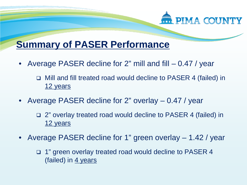

# **Summary of PASER Performance**

- Average PASER decline for 2" mill and fill 0.47 / year
	- □ Mill and fill treated road would decline to PASER 4 (failed) in 12 years
- Average PASER decline for 2" overlay 0.47 / year
	- □ 2" overlay treated road would decline to PASER 4 (failed) in 12 years
- Average PASER decline for 1" green overlay 1.42 / year
	- □ 1" green overlay treated road would decline to PASER 4 (failed) in 4 years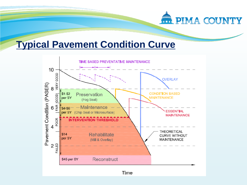

#### **Typical Pavement Condition Curve**

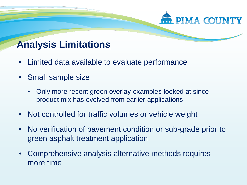

# **Analysis Limitations**

- Limited data available to evaluate performance
- Small sample size
	- Only more recent green overlay examples looked at since product mix has evolved from earlier applications
- Not controlled for traffic volumes or vehicle weight
- No verification of pavement condition or sub-grade prior to green asphalt treatment application
- Comprehensive analysis alternative methods requires more time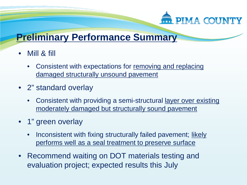

### **Preliminary Performance Summary**

- Mill & fill
	- Consistent with expectations for removing and replacing damaged structurally unsound pavement
- 2" standard overlay
	- Consistent with providing a semi-structural layer over existing moderately damaged but structurally sound pavement
- 1" green overlay
	- Inconsistent with fixing structurally failed pavement; likely performs well as a seal treatment to preserve surface
- Recommend waiting on DOT materials testing and evaluation project; expected results this July